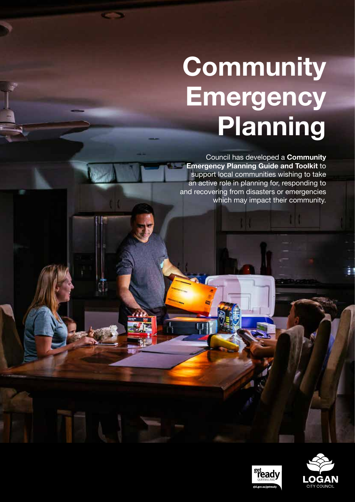# **Community Emergency Planning**

Council has developed a **Community Emergency Planning Guide and Toolkit** to support local communities wishing to take an active role in planning for, responding to and recovering from disasters or emergencies which may impact their community.